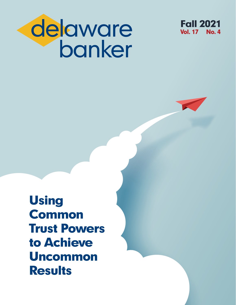



Using Common Trust Powers to Achieve Uncommon **Results**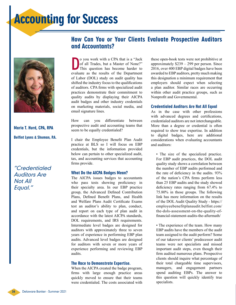# Accounting for Success



Maria T. Hurd, CPA, RPA Belfint Lyons & Shuman, P.A.

"Credentialed Auditors Are Not All Equal."

### How Can You or Your Clients Evaluate Prospective Auditors and Accountants?

O you work with a CPA that is a "Jack<br>of all Trades, but a Master of None?"<br>This question has become harder to<br>evaluate as the results of the Department o you work with a CPA that is a "Jack of all Trades, but a Master of None?" This question has become harder to of Labor (DOL) study on audit quality has shifted the industry focus to the qualifications of auditors. CPA firms with specialized audit practices demonstrate their commitment to quality audits by displaying their AICPA audit badges and other industry credentials on marketing materials, social media, and email signature lines.

How can you differentiate between prospective audit and accounting teams that seem to be equally credentialed?

I chair the Employee Benefit Plan Audit practice at BLS so I will focus on EBP credentials, but the information provided below can pertain to other specialized audit, tax, and accounting services that accounting firms provide.

#### What Do the AICPA Badges Mean?

The AICPA issues badges to accountants who pass tests showing proficiency in their specialty area. In our EBP practice group, the Advanced Defined Contribution Plans, Defined Benefit Plans, and Health and Welfare Plans Audit Certificate Exams test an auditor's ability to plan, conduct, and report on each type of plan audit in accordance with the latest AICPA standards, DOL requirements, and IRS requirements. Intermediate level badges are designed for auditors with approximately three to seven years of experience in performing EBP plan audits. Advanced level badges are designed for auditors with seven or more years of experience performing and reviewing EBP audits.

#### The Race to Demonstrate Expertise.

When the AICPA created the badge program, firms with large enough practice areas quickly moved to ensure that their teams were credentialed. The costs associated with these open-book tests were not prohibitive at approximately \$239 – 299 per person. Since 2016, over 400 EBP digital badges have been awarded to EBP auditors, pretty much making this designation a minimum requirement that employers should expect when selecting a plan auditor. Similar races are occurring within other audit practice groups, such as Nonprofit and Governmental.

#### Credentialed Auditors Are Not All Equal

As in the case with other professions with advanced degrees and certifications, credentialed auditors are not interchangeable. More than a degree or credential is often required to show true expertise. In addition to digital badges, here are additional considerations when evaluating accountants and auditors:

• The size of the specialized practice. For EBP audit practices, the DOL audit quality study shows a correlation between the number of EBP audits performed and the rate of deficiency in the audits. 93% of the nation's CPA firms perform less than 25 EBP audits and the study showed deficiency rates ranging from 67.4% to 75.80% in those groups. The following link has more information on the results of the DOL Audit Quality Study - https:// employeebenefitplanaudit.belfint.com/ the-dols-assessment-on-the-quality-offinancial-statement-audits-the-aftermath/

• The experience of the team. How many EBP audits have the members of the audit team assigned to the audit perform? Some of our takeover clients' predecessor audit teams were not specialists and missed important audit steps, even though their firm audited numerous plans. Prospective clients should inquire what percentage of their total chargeable time supervisors, managers, and engagement partners spend auditing EBPs. The answer to this question will quickly identify true specialists.